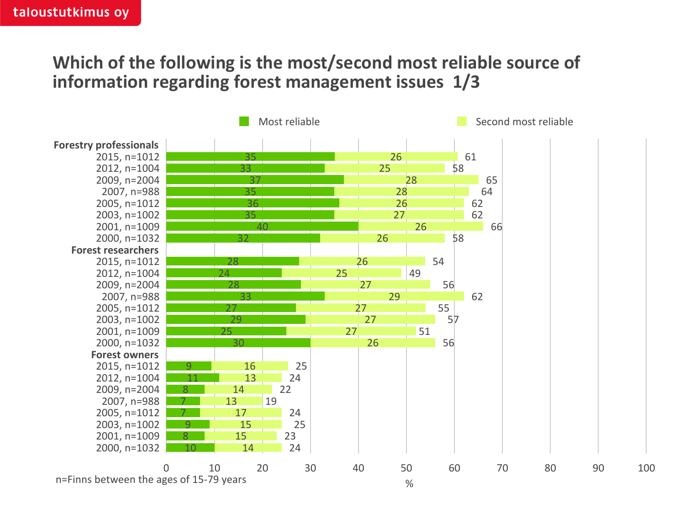## **Which of the following is the most/second most reliable source of information regarding forest management issues 1/3**

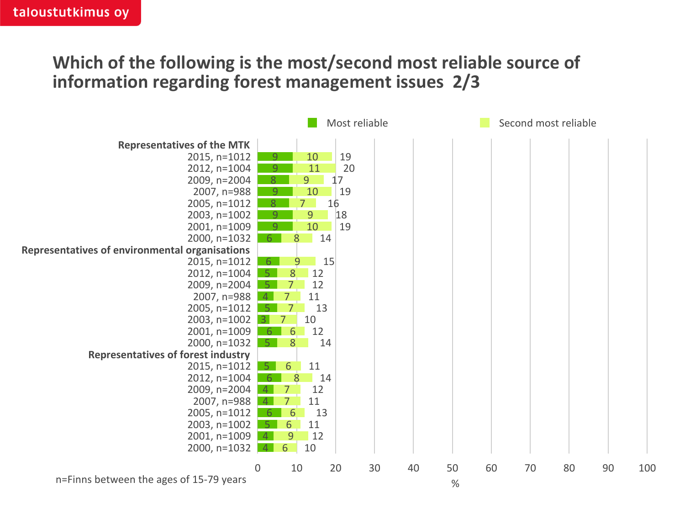## **Which of the following is the most/second most reliable source of information regarding forest management issues 2/3**